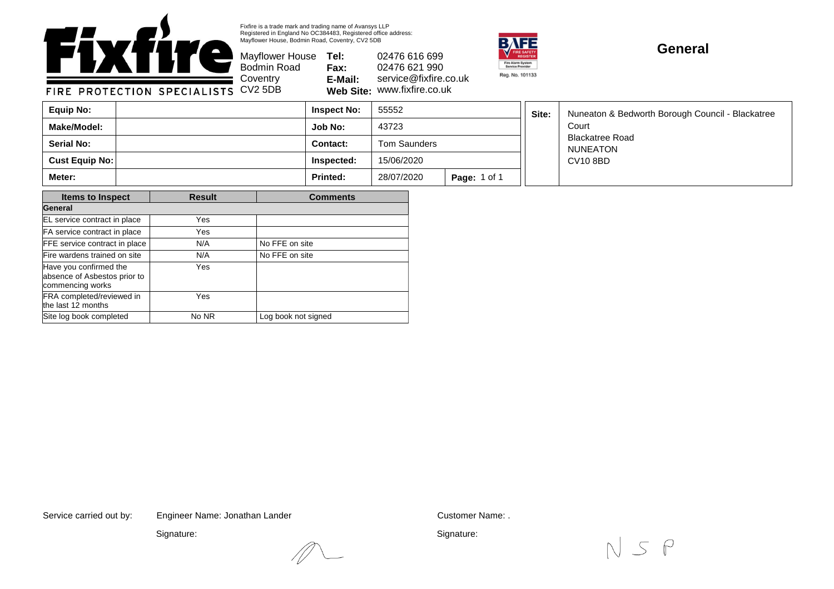

Fixfire is a trade mark and trading name of Avansys LLP Registered in England No OC384483, Registered office address: Mayflower House, Bodmin Road, Coventry, CV2 5DB

Bodmin Road **Coventry** 

Mayflower House **Tel: Fax: E-Mail: Web Site:** www.fixfire.co.uk 02476 616 699 02476 621 990 service@fixfire.co.uk



## **General**

FIRE PROTECTION SPECIALISTS CV2 5DB

| Equip No:             | <b>Inspect No:</b> | 55552        |                     | Site: | Nuneaton & Bedworth Borough Council - Blackatree<br>Court |
|-----------------------|--------------------|--------------|---------------------|-------|-----------------------------------------------------------|
| Make/Model:           | Job No:            | 43723        |                     |       |                                                           |
| <b>Serial No:</b>     | <b>Contact:</b>    | Tom Saunders |                     |       | <b>Blackatree Road</b><br><b>NUNEATON</b>                 |
| <b>Cust Equip No:</b> | Inspected:         | 15/06/2020   |                     |       | <b>CV10 8BD</b>                                           |
| Meter:                | <b>Printed:</b>    | 28/07/2020   | <b>Page: 1 of 1</b> |       |                                                           |

| <b>Items to Inspect</b>                                                    | <b>Result</b> | <b>Comments</b>     |  |  |
|----------------------------------------------------------------------------|---------------|---------------------|--|--|
| General                                                                    |               |                     |  |  |
| EL service contract in place                                               | Yes           |                     |  |  |
| FA service contract in place                                               | Yes           |                     |  |  |
| FFE service contract in place                                              | N/A           | No FFE on site      |  |  |
| Fire wardens trained on site                                               | N/A           | No FFE on site      |  |  |
| Have you confirmed the<br>absence of Asbestos prior to<br>commencing works | Yes           |                     |  |  |
| FRA completed/reviewed in<br>the last 12 months                            | Yes           |                     |  |  |
| Site log book completed                                                    | No NR         | Log book not signed |  |  |

Service carried out by: Customer Name: . Engineer Name: Jonathan Lander

Signature:

Signature: